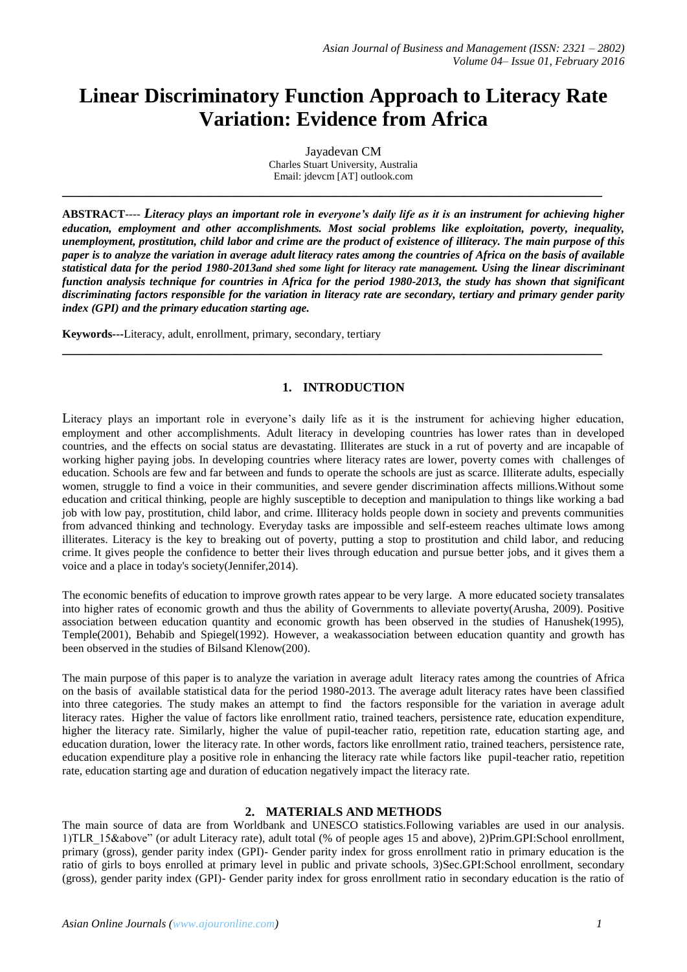# **Linear Discriminatory Function Approach to Literacy Rate Variation: Evidence from Africa**

Jayadevan CM Charles Stuart University, Australia Email: jdevcm [AT] outlook.com

**\_\_\_\_\_\_\_\_\_\_\_\_\_\_\_\_\_\_\_\_\_\_\_\_\_\_\_\_\_\_\_\_\_\_\_\_\_\_\_\_\_\_\_\_\_\_\_\_\_\_\_\_\_\_\_\_\_\_\_\_\_\_\_\_\_\_\_\_\_\_\_\_\_\_\_\_\_\_**

**ABSTRACT**---- *Literacy plays an important role in everyone's daily life as it is an instrument for achieving higher education, employment and other accomplishments. Most social problems like exploitation, poverty, inequality, unemployment, prostitution, child labor and crime are the product of existence of illiteracy. The main purpose of this paper is to analyze the variation in average adult literacy rates among the countries of Africa on the basis of available statistical data for the period 1980-2013and shed some light for literacy rate management. Using the linear discriminant function analysis technique for countries in Africa for the period 1980-2013, the study has shown that significant discriminating factors responsible for the variation in literacy rate are secondary, tertiary and primary gender parity index (GPI) and the primary education starting age.*

**Keywords---**Literacy, adult, enrollment, primary, secondary, tertiary

# **1. INTRODUCTION**

**\_\_\_\_\_\_\_\_\_\_\_\_\_\_\_\_\_\_\_\_\_\_\_\_\_\_\_\_\_\_\_\_\_\_\_\_\_\_\_\_\_\_\_\_\_\_\_\_\_\_\_\_\_\_\_\_\_\_\_\_\_\_\_\_\_\_\_\_\_\_\_\_\_\_\_\_\_\_**

Literacy plays an important role in everyone's daily life as it is the instrument for achieving higher education, employment and other accomplishments. Adult literacy in developing countries has lower rates than in developed countries, and the effects on social status are devastating. Illiterates are stuck in a rut of poverty and are incapable of working higher paying jobs. In developing countries where literacy rates are lower, poverty comes with challenges of education. Schools are few and far between and funds to operate the schools are just as scarce. Illiterate adults, especially women, struggle to find a voice in their communities, and severe gender discrimination affects millions.Without some education and critical thinking, people are highly susceptible to deception and manipulation to things like working a bad job with low pay, prostitution, child labor, and crime. Illiteracy holds people down in society and prevents communities from advanced thinking and technology. Everyday tasks are impossible and self-esteem reaches ultimate lows among illiterates. Literacy is the key to breaking out of poverty, putting a stop to prostitution and child labor, and reducing crime. It gives people the confidence to better their lives through education and pursue better jobs, and it gives them a voice and a place in today's society[\(Jennifer,](http://blog.alfalit.org/author/jennifer-flynt)2014).

The economic benefits of education to improve growth rates appear to be very large. A more educated society transalates into higher rates of economic growth and thus the ability of Governments to alleviate poverty(Arusha, 2009). Positive association between education quantity and economic growth has been observed in the studies of Hanushek(1995), Temple(2001), Behabib and Spiegel(1992). However, a weakassociation between education quantity and growth has been observed in the studies of Bilsand Klenow(200).

The main purpose of this paper is to analyze the variation in average adult literacy rates among the countries of Africa on the basis of available statistical data for the period 1980-2013. The average adult literacy rates have been classified into three categories. The study makes an attempt to find the factors responsible for the variation in average adult literacy rates. Higher the value of factors like enrollment ratio, trained teachers, persistence rate, education expenditure, higher the literacy rate. Similarly, higher the value of pupil-teacher ratio, repetition rate, education starting age, and education duration, lower the literacy rate. In other words, factors like enrollment ratio, trained teachers, persistence rate, education expenditure play a positive role in enhancing the literacy rate while factors like pupil-teacher ratio, repetition rate, education starting age and duration of education negatively impact the literacy rate.

# **2. MATERIALS AND METHODS**

The main source of data are from Worldbank and UNESCO statistics.Following variables are used in our analysis. 1)TLR\_15&above" (or adult Literacy rate), adult total (% of people ages 15 and above), 2)Prim.GPI:School enrollment, primary (gross), gender parity index (GPI)- Gender parity index for gross enrollment ratio in primary education is the ratio of girls to boys enrolled at primary level in public and private schools, 3)Sec.GPI:School enrollment, secondary (gross), gender parity index (GPI)- Gender parity index for gross enrollment ratio in secondary education is the ratio of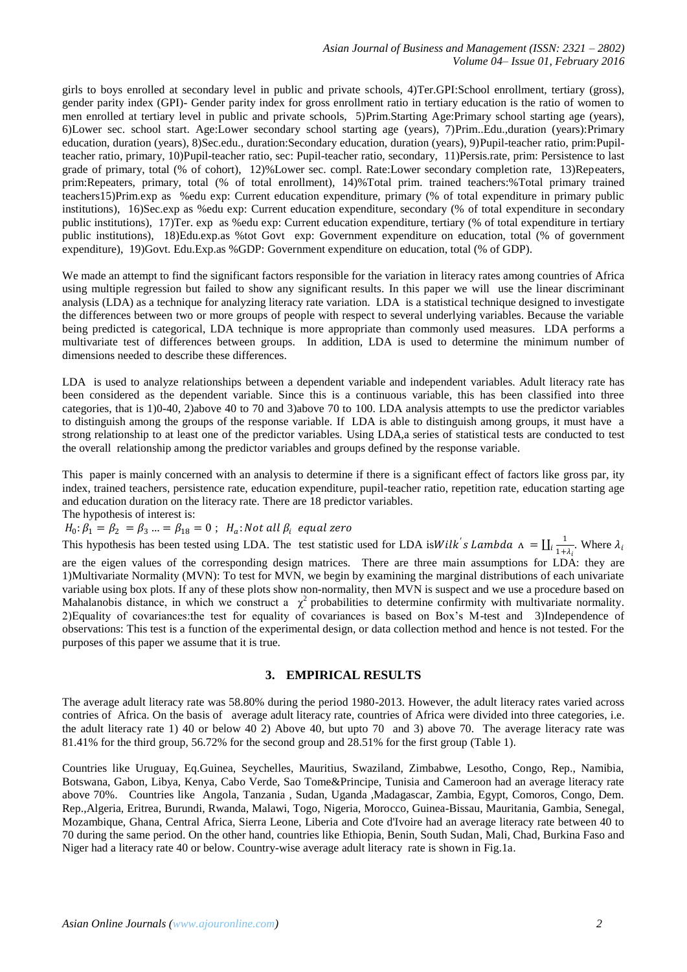girls to boys enrolled at secondary level in public and private schools, 4)Ter.GPI:School enrollment, tertiary (gross), gender parity index (GPI)- Gender parity index for gross enrollment ratio in tertiary education is the ratio of women to men enrolled at tertiary level in public and private schools, 5)Prim.Starting Age:Primary school starting age (years), 6)Lower sec. school start. Age:Lower secondary school starting age (years), 7)Prim..Edu.,duration (years):Primary education, duration (years), 8)Sec.edu., duration:Secondary education, duration (years), 9)Pupil-teacher ratio, prim:Pupilteacher ratio, primary, 10)Pupil-teacher ratio, sec: Pupil-teacher ratio, secondary, 11)Persis.rate, prim: Persistence to last grade of primary, total (% of cohort), 12)%Lower sec. compl. Rate:Lower secondary completion rate, 13)Repeaters, prim:Repeaters, primary, total (% of total enrollment), 14)%Total prim. trained teachers:%Total primary trained teachers15)Prim.exp as %edu exp: Current education expenditure, primary (% of total expenditure in primary public institutions), 16)Sec.exp as %edu exp: Current education expenditure, secondary (% of total expenditure in secondary public institutions), 17)Ter. exp as %edu exp: Current education expenditure, tertiary (% of total expenditure in tertiary public institutions), 18)Edu.exp.as %tot Govt exp: Government expenditure on education, total (% of government expenditure), 19)Govt. Edu.Exp.as %GDP: Government expenditure on education, total (% of GDP).

We made an attempt to find the significant factors responsible for the variation in literacy rates among countries of Africa using multiple regression but failed to show any significant results. In this paper we will use the linear discriminant analysis (LDA) as a technique for analyzing literacy rate variation. LDA is a statistical technique designed to investigate the differences between two or more groups of people with respect to several underlying variables. Because the variable being predicted is categorical, LDA technique is more appropriate than commonly used measures. LDA performs a multivariate test of differences between groups. In addition, LDA is used to determine the minimum number of dimensions needed to describe these differences.

LDA is used to analyze relationships between a dependent variable and independent variables. Adult literacy rate has been considered as the dependent variable. Since this is a continuous variable, this has been classified into three categories, that is 1)0-40, 2)above 40 to 70 and 3)above 70 to 100. LDA analysis attempts to use the predictor variables to distinguish among the groups of the response variable. If LDA is able to distinguish among groups, it must have a strong relationship to at least one of the predictor variables. Using LDA,a series of statistical tests are conducted to test the overall relationship among the predictor variables and groups defined by the response variable.

This paper is mainly concerned with an analysis to determine if there is a significant effect of factors like gross par, ity index, trained teachers, persistence rate, education expenditure, pupil-teacher ratio, repetition rate, education starting age and education duration on the literacy rate. There are 18 predictor variables. The hypothesis of interest is:

 $H_0$ :  $\beta_1 = \beta_2 = \beta_3 ... = \beta_{18} = 0$ ;  $H_a$ : Not all  $\beta_i$  equal zero

This hypothesis has been tested using LDA. The test statistic used for LDA is Wilk's Lambda  $\Lambda = \coprod_{i=1}^{\infty}$  $\lambda_i \frac{1}{1+\lambda_i}$ . Where  $\lambda_i$ 

are the eigen values of the corresponding design matrices. There are three main assumptions for LDA: they are 1)Multivariate Normality (MVN): To test for MVN, we begin by examining the marginal distributions of each univariate variable using box plots. If any of these plots show non-normality, then MVN is suspect and we use a procedure based on Mahalanobis distance, in which we construct a  $\chi^2$  probabilities to determine confirmity with multivariate normality. 2)Equality of covariances:the test for equality of covariances is based on Box's M-test and 3)Independence of observations: This test is a function of the experimental design, or data collection method and hence is not tested. For the purposes of this paper we assume that it is true.

# **3. EMPIRICAL RESULTS**

The average adult literacy rate was 58.80% during the period 1980-2013. However, the adult literacy rates varied across contries of Africa. On the basis of average adult literacy rate, countries of Africa were divided into three categories, i.e. the adult literacy rate 1) 40 or below 40 2) Above 40, but upto 70 and 3) above 70. The average literacy rate was 81.41% for the third group, 56.72% for the second group and 28.51% for the first group (Table 1).

Countries like Uruguay, Eq.Guinea, Seychelles, Mauritius, Swaziland, Zimbabwe, Lesotho, Congo, Rep., Namibia, Botswana, Gabon, Libya, Kenya, Cabo Verde, Sao Tome&Principe, Tunisia and Cameroon had an average literacy rate above 70%. Countries like Angola, Tanzania , Sudan, Uganda ,Madagascar, Zambia, Egypt, Comoros, Congo, Dem. Rep.,Algeria, Eritrea, Burundi, Rwanda, Malawi, Togo, Nigeria, Morocco, Guinea-Bissau, Mauritania, Gambia, Senegal, Mozambique, Ghana, Central Africa, Sierra Leone, Liberia and Cote d'Ivoire had an average literacy rate between 40 to 70 during the same period. On the other hand, countries like Ethiopia, Benin, South Sudan, Mali, Chad, Burkina Faso and Niger had a literacy rate 40 or below. Country-wise average adult literacy rate is shown in Fig.1a.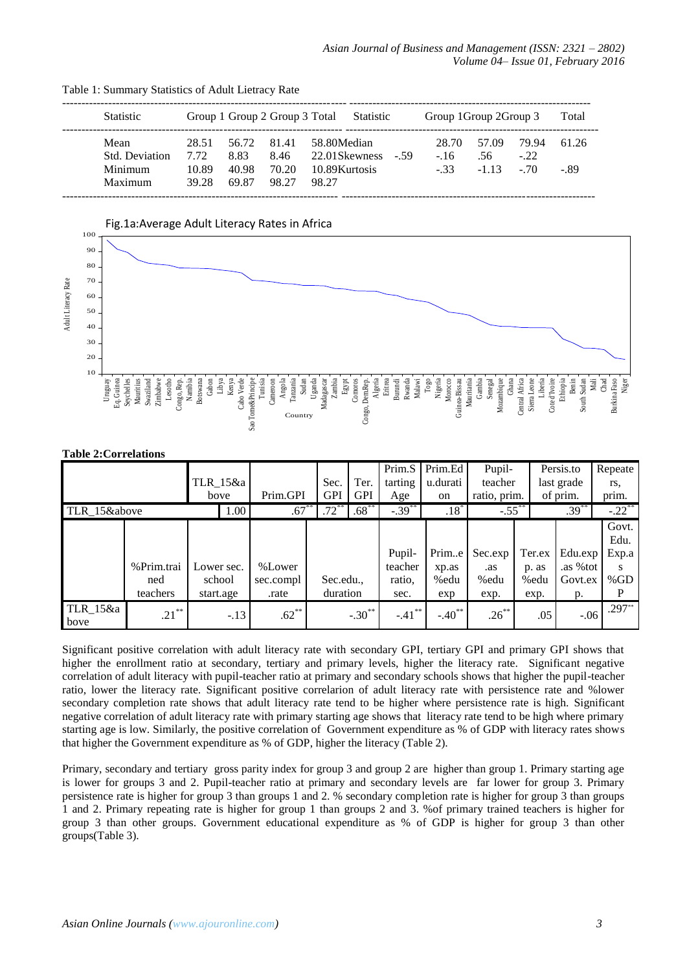| <b>Statistic</b>       |                | Group 1 Group 2 Group 3 Total |                | <b>Statistic</b>                       | Group 1 Group 2 Group 3 |              |                 | Total |
|------------------------|----------------|-------------------------------|----------------|----------------------------------------|-------------------------|--------------|-----------------|-------|
| Mean<br>Std. Deviation | 28.51<br>7.72  | 56.72<br>8.83                 | 81.41<br>8.46  | 58.80Median<br>22.01 Skewness<br>$-59$ | 28.70<br>$-16$          | 57.09<br>.56 | 79.94<br>$-22.$ | 61.26 |
| Minimum<br>Maximum     | 10.89<br>39.28 | 40.98<br>69.87                | 70.20<br>98.27 | 10.89 Kurtosis<br>98.27                | $-33$                   | $-1.13$      | $-70$           | - 89  |

Table 1: Summary Statistics of Adult Lietracy Rate



#### **Table 2:Correlations**

|                  |            |            |        |           |            |            | Prim.S              | Prim.Ed   | Pupil-               |        | Persis.to        | Repeate  |
|------------------|------------|------------|--------|-----------|------------|------------|---------------------|-----------|----------------------|--------|------------------|----------|
|                  |            | TLR_15&a   |        |           | Sec.       | Ter.       | tarting             | u.durati  | teacher              |        | last grade       | rs.      |
|                  |            | bove       |        | Prim.GPI  | <b>GPI</b> | <b>GPI</b> | Age                 | on        | ratio, prim.         |        | of prim.         | prim.    |
| TLR_15&above     |            |            | 1.00   | $.67***$  | $.72***$   | $.68***$   | $-.39***$           | $.18^{*}$ | $-.55$ <sup>**</sup> |        | $.39***$         | $-0.22$  |
|                  |            |            |        |           |            |            |                     |           |                      |        |                  | Govt.    |
|                  |            |            |        |           |            |            |                     |           |                      |        |                  | Edu.     |
|                  |            |            |        |           |            |            | Pupil-              | Prime     | Sec.exp              | Ter.ex | Edu.exp          | Exp.a    |
|                  | %Prim.trai | Lower sec. |        | %Lower    |            |            | teacher             | xp.as     | .as                  | p. as  | $\alpha$ as %tot | s        |
|                  | ned        | school     |        | sec.compl |            | Sec.edu.,  | ratio,              | %edu      | %edu                 | %edu   | Govt.ex          | % $GD$   |
|                  | teachers   | start.age  |        | .rate     |            | duration   | sec.                | exp       | exp.                 | exp.   | p.               |          |
| TLR_15&a<br>bove | $.21***$   |            | $-.13$ | $.62***$  |            | $-.30***$  | $-41$ <sup>**</sup> | $-.40^*$  | $.26***$             | .05    | $-0.06$          | $.297**$ |

Significant positive correlation with adult literacy rate with secondary GPI, tertiary GPI and primary GPI shows that higher the enrollment ratio at secondary, tertiary and primary levels, higher the literacy rate. Significant negative correlation of adult literacy with pupil-teacher ratio at primary and secondary schools shows that higher the pupil-teacher ratio, lower the literacy rate. Significant positive correlarion of adult literacy rate with persistence rate and %lower secondary completion rate shows that adult literacy rate tend to be higher where persistence rate is high. Significant negative correlation of adult literacy rate with primary starting age shows that literacy rate tend to be high where primary starting age is low. Similarly, the positive correlation of Government expenditure as % of GDP with literacy rates shows that higher the Government expenditure as % of GDP, higher the literacy (Table 2).

Primary, secondary and tertiary gross parity index for group 3 and group 2 are higher than group 1. Primary starting age is lower for groups 3 and 2. Pupil-teacher ratio at primary and secondary levels are far lower for group 3. Primary persistence rate is higher for group 3 than groups 1 and 2. % secondary completion rate is higher for group 3 than groups 1 and 2. Primary repeating rate is higher for group 1 than groups 2 and 3. %of primary trained teachers is higher for group 3 than other groups. Government educational expenditure as % of GDP is higher for group 3 than other groups(Table 3).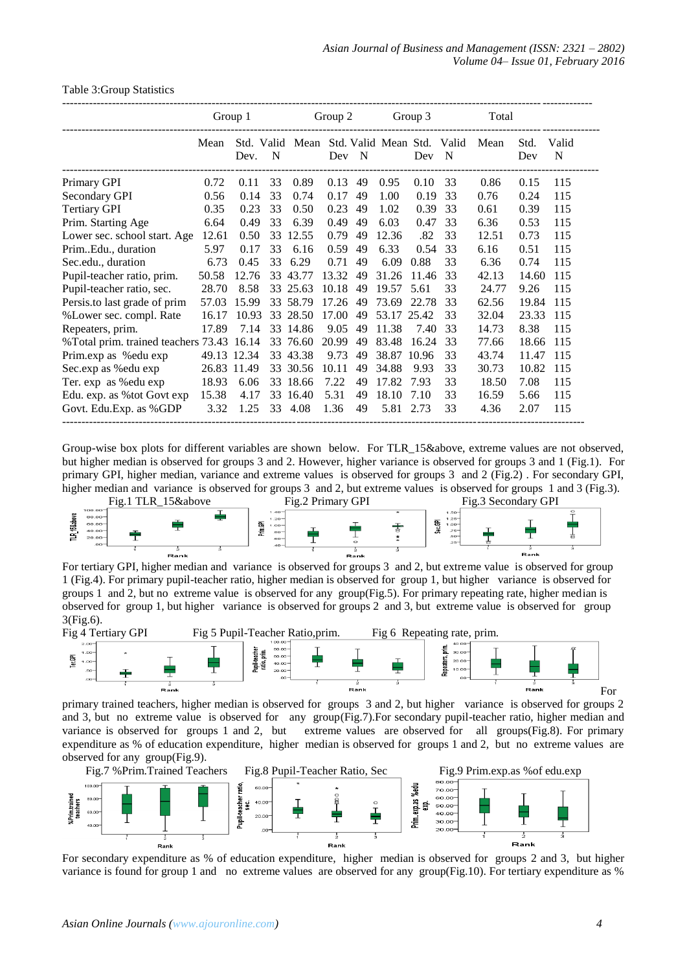|                                            |             | Group 1 |    |          | Group 2 |    |                                            | Group 3 |    | Total |             |            |
|--------------------------------------------|-------------|---------|----|----------|---------|----|--------------------------------------------|---------|----|-------|-------------|------------|
|                                            | Mean        | Dev.    | N  |          | Dev N   |    | Std. Valid Mean Std. Valid Mean Std. Valid | Dev     | N  | Mean  | Std.<br>Dev | Valid<br>N |
| Primary GPI                                | 0.72        | 0.11    | 33 | 0.89     | 0.13    | 49 | 0.95                                       | 0.10    | 33 | 0.86  | 0.15        | 115        |
| Secondary GPI                              | 0.56        | 0.14    | 33 | 0.74     | 0.17    | 49 | 1.00                                       | 0.19    | 33 | 0.76  | 0.24        | 115        |
| <b>Tertiary GPI</b>                        | 0.35        | 0.23    | 33 | 0.50     | 0.23    | 49 | 1.02                                       | 0.39    | 33 | 0.61  | 0.39        | 115        |
| Prim. Starting Age                         | 6.64        | 0.49    | 33 | 6.39     | 0.49    | 49 | 6.03                                       | 0.47    | 33 | 6.36  | 0.53        | 115        |
| Lower sec. school start. Age               | 12.61       | 0.50    | 33 | 12.55    | 0.79    | 49 | 12.36                                      | .82     | 33 | 12.51 | 0.73        | 115        |
| PrimEdu., duration                         | 5.97        | 0.17    | 33 | 6.16     | 0.59    | 49 | 6.33                                       | 0.54    | 33 | 6.16  | 0.51        | 115        |
| Sec.edu., duration                         | 6.73        | 0.45    | 33 | 6.29     | 0.71    | 49 | 6.09                                       | 0.88    | 33 | 6.36  | 0.74        | 115        |
| Pupil-teacher ratio, prim.                 | 50.58       | 12.76   |    | 33 43.77 | 13.32   | 49 | 31.26                                      | 11.46   | 33 | 42.13 | 14.60       | 115        |
| Pupil-teacher ratio, sec.                  | 28.70       | 8.58    |    | 33 25.63 | 10.18   | 49 | 19.57                                      | 5.61    | 33 | 24.77 | 9.26        | 115        |
| Persis.to last grade of prim               | 57.03       | 15.99   |    | 33 58.79 | 17.26   | 49 | 73.69                                      | 22.78   | 33 | 62.56 | 19.84       | 115        |
| %Lower sec. compl. Rate                    | 16.17       | 10.93   |    | 33 28.50 | 17.00   | 49 | 53.17 25.42                                |         | 33 | 32.04 | 23.33       | 115        |
| Repeaters, prim.                           | 17.89       | 7.14    |    | 33 14.86 | 9.05    | 49 | 11.38                                      | 7.40    | 33 | 14.73 | 8.38        | 115        |
| % Total prim. trained teachers 73.43 16.14 |             |         |    | 33 76.60 | 20.99   | 49 | 83.48                                      | 16.24   | 33 | 77.66 | 18.66       | 115        |
| Prim.exp as %edu exp                       | 49.13 12.34 |         |    | 33 43.38 | 9.73    | 49 | 38.87 10.96                                |         | 33 | 43.74 | 11.47       | 115        |
| Sec.exp as %edu exp                        | 26.83 11.49 |         |    | 33 30.56 | 10.11   | 49 | 34.88                                      | 9.93    | 33 | 30.73 | 10.82       | 115        |
| Ter. exp as % edu exp                      | 18.93       | 6.06    |    | 33 18.66 | 7.22    | 49 | 17.82                                      | 7.93    | 33 | 18.50 | 7.08        | 115        |
| Edu. exp. as % tot Govt exp                | 15.38       | 4.17    |    | 33 16.40 | 5.31    | 49 | 18.10                                      | 7.10    | 33 | 16.59 | 5.66        | 115        |
| Govt. Edu.Exp. as %GDP                     | 3.32        | 1.25    | 33 | 4.08     | 1.36    | 49 | 5.81                                       | 2.73    | 33 | 4.36  | 2.07        | 115        |

Table 3:Group Statistics

Group-wise box plots for different variables are shown below. For TLR\_15&above, extreme values are not observed, but higher median is observed for groups 3 and 2. However, higher variance is observed for groups 3 and 1 (Fig.1). For primary GPI, higher median, variance and extreme values is observed for groups 3 and 2 (Fig.2) . For secondary GPI, higher median and variance is observed for groups 3 and 2, but extreme values is observed for groups 1 and 3 (Fig.3).



For tertiary GPI, higher median and variance is observed for groups 3 and 2, but extreme value is observed for group 1 (Fig.4). For primary pupil-teacher ratio, higher median is observed for group 1, but higher variance is observed for groups 1 and 2, but no extreme value is observed for any group(Fig.5). For primary repeating rate, higher median is observed for group 1, but higher variance is observed for groups 2 and 3, but extreme value is observed for group



primary trained teachers, higher median is observed for groups 3 and 2, but higher variance is observed for groups 2 and 3, but no extreme value is observed for any group(Fig.7).For secondary pupil-teacher ratio, higher median and variance is observed for groups 1 and 2, but extreme values are observed for all groups(Fig.8). For primary expenditure as % of education expenditure, higher median is observed for groups 1 and 2, but no extreme values are observed for any group(Fig.9).



For secondary expenditure as % of education expenditure, higher median is observed for groups 2 and 3, but higher variance is found for group 1 and no extreme values are observed for any group(Fig.10). For tertiary expenditure as %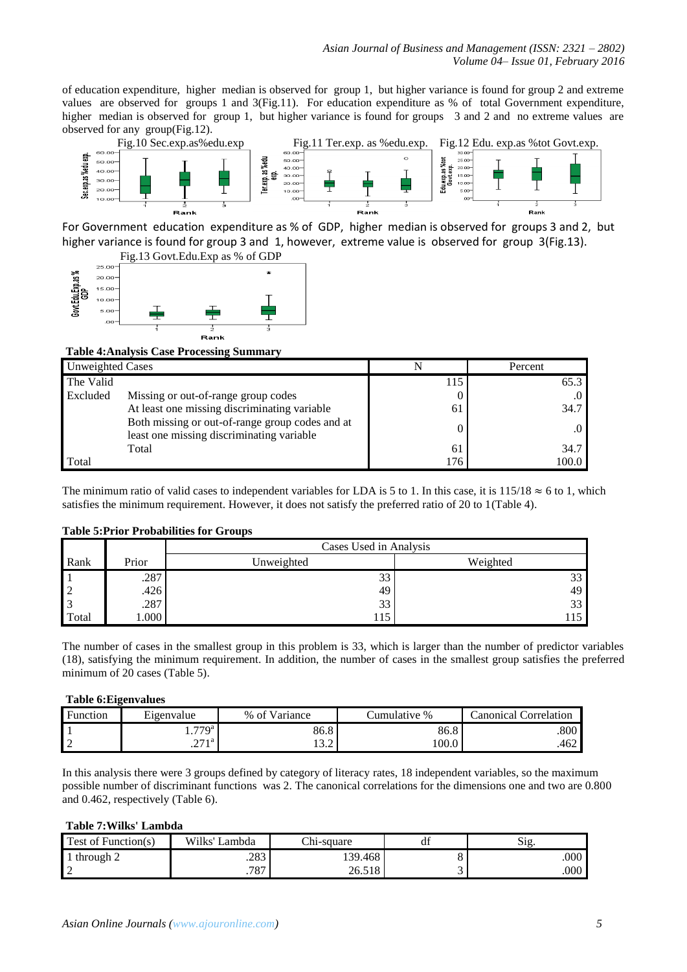of education expenditure, higher median is observed for group 1, but higher variance is found for group 2 and extreme values are observed for groups 1 and 3(Fig.11). For education expenditure as % of total Government expenditure, higher median is observed for group 1, but higher variance is found for groups 3 and 2 and no extreme values are observed for any group(Fig.12).



For Government education expenditure as % of GDP, higher median is observed for groups 3 and 2, but higher variance is found for group 3 and 1, however, extreme value is observed for group 3(Fig.13).



**Table 4:Analysis Case Processing Summary**

| Unweighted Cases |                                                                                              |     | Percent |
|------------------|----------------------------------------------------------------------------------------------|-----|---------|
| The Valid        |                                                                                              | 115 | 65.3    |
| Excluded         | Missing or out-of-range group codes                                                          |     |         |
|                  | At least one missing discriminating variable                                                 | 61  | 34.7    |
|                  | Both missing or out-of-range group codes and at<br>least one missing discriminating variable |     | .0      |
|                  | Total                                                                                        | 61  | 34.7    |
| Total            |                                                                                              | 176 | 100.0   |

The minimum ratio of valid cases to independent variables for LDA is 5 to 1. In this case, it is  $115/18 \approx 6$  to 1, which satisfies the minimum requirement. However, it does not satisfy the preferred ratio of 20 to 1(Table 4).

## **Table 5:Prior Probabilities for Groups**

|                |       | Cases Used in Analysis |          |  |  |  |  |
|----------------|-------|------------------------|----------|--|--|--|--|
| Rank           | Prior | Unweighted             | Weighted |  |  |  |  |
|                | .287  | 33                     | 33       |  |  |  |  |
| $\overline{2}$ | .426  | 49                     | 49       |  |  |  |  |
| 3              | .287  | 33                     | 33       |  |  |  |  |
| Total          | .000  | 15                     | .15      |  |  |  |  |

The number of cases in the smallest group in this problem is 33, which is larger than the number of predictor variables (18), satisfying the minimum requirement. In addition, the number of cases in the smallest group satisfies the preferred minimum of 20 cases (Table 5).

## **Table 6:Eigenvalues**

| Function | Eigenvalue       | % of Variance       | umulative % | . `anonical Correlation |
|----------|------------------|---------------------|-------------|-------------------------|
|          | 770 <sup>a</sup> | 86.8                | 86.8        | $.800 \text{ }$         |
|          | 271a<br>. 411    | $\sqrt{2}$<br>1 J.Z | 100.0       | 462                     |

In this analysis there were 3 groups defined by category of literacy rates, 18 independent variables, so the maximum possible number of discriminant functions was 2. The canonical correlations for the dimensions one and two are 0.800 and 0.462, respectively (Table 6).

## **Table 7:Wilks' Lambda**

| $\sim$ $\blacksquare$<br>Test of $\bf{1}$<br>Function(s) | Wilks'<br>Lambda | Chi-square    | uı | Sig. |
|----------------------------------------------------------|------------------|---------------|----|------|
| through 2                                                | 702<br>.205      | 139.468       |    | .000 |
|                                                          | .787             | F10<br>26.518 |    | .000 |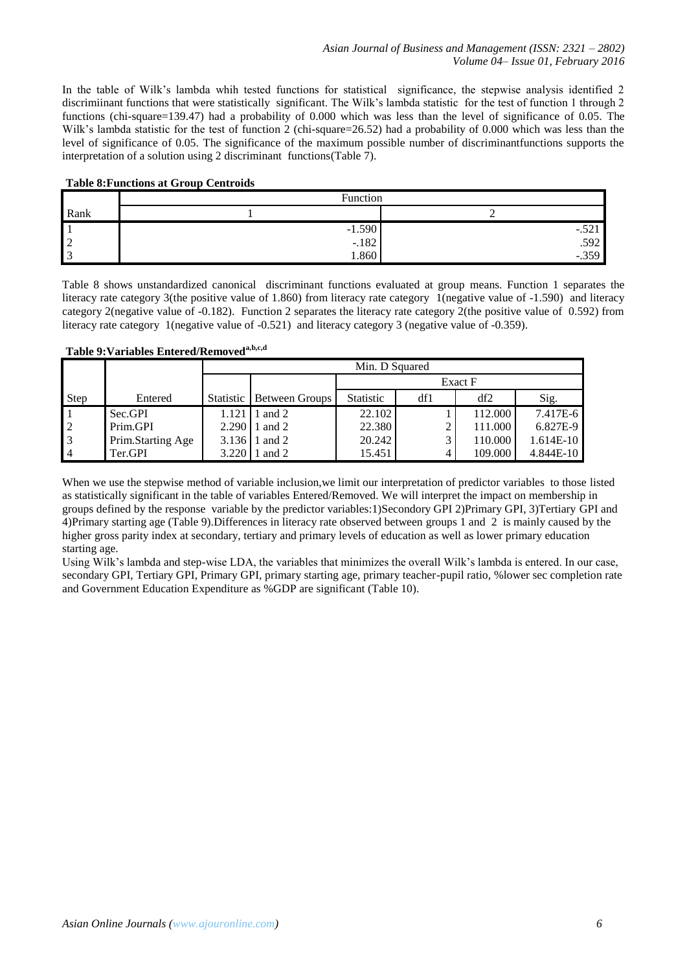In the table of Wilk's lambda whih tested functions for statistical significance, the stepwise analysis identified 2 discrimiinant functions that were statistically significant. The Wilk's lambda statistic for the test of function 1 through 2 functions (chi-square=139.47) had a probability of 0.000 which was less than the level of significance of 0.05. The Wilk's lambda statistic for the test of function 2 (chi-square=26.52) had a probability of 0.000 which was less than the level of significance of 0.05. The significance of the maximum possible number of discriminantfunctions supports the interpretation of a solution using 2 discriminant functions(Table 7).

## **Table 8:Functions at Group Centroids**

|                 | Function |         |  |  |  |  |
|-----------------|----------|---------|--|--|--|--|
| Rank            |          |         |  |  |  |  |
|                 | $-1.590$ | $-.321$ |  |  |  |  |
| $\sqrt{2}$<br>∼ | $-.182$  | .592    |  |  |  |  |
|                 | 1.860    | $-.359$ |  |  |  |  |

Table 8 shows unstandardized canonical discriminant functions evaluated at group means. Function 1 separates the literacy rate category 3(the positive value of 1.860) from literacy rate category 1(negative value of -1.590) and literacy category 2(negative value of -0.182). Function 2 separates the literacy rate category 2(the positive value of 0.592) from literacy rate category 1(negative value of -0.521) and literacy category 3 (negative value of -0.359).

**Table 9:Variables Entered/Removeda,b,c,d**

|                |                   |       | Min. D Squared           |                  |     |         |           |  |
|----------------|-------------------|-------|--------------------------|------------------|-----|---------|-----------|--|
|                |                   |       |                          | Exact F          |     |         |           |  |
| Step           | Entered           |       | Statistic Between Groups | <b>Statistic</b> | df1 | df2     | Sig.      |  |
|                | Sec.GPI           | 1.121 | and 2                    | 22.102           |     | 112.000 | 7.417E-6  |  |
|                | Prim.GPI          | 2.290 | 1 and 2                  | 22.380           |     | 111.000 | 6.827E-9  |  |
| $\overline{3}$ | Prim.Starting Age | 3.136 | 1 and 2                  | 20.242           |     | 110.000 | 1.614E-10 |  |
| $\overline{4}$ | Ter.GPI           | 3.220 | and 2                    | 15.451           |     | 109.000 | 4.844E-10 |  |

When we use the stepwise method of variable inclusion,we limit our interpretation of predictor variables to those listed as statistically significant in the table of variables Entered/Removed. We will interpret the impact on membership in groups defined by the response variable by the predictor variables:1)Secondory GPI 2)Primary GPI, 3)Tertiary GPI and 4)Primary starting age (Table 9).Differences in literacy rate observed between groups 1 and 2 is mainly caused by the higher gross parity index at secondary, tertiary and primary levels of education as well as lower primary education starting age.

Using Wilk's lambda and step-wise LDA, the variables that minimizes the overall Wilk's lambda is entered. In our case, secondary GPI, Tertiary GPI, Primary GPI, primary starting age, primary teacher-pupil ratio, %lower sec completion rate and Government Education Expenditure as %GDP are significant (Table 10).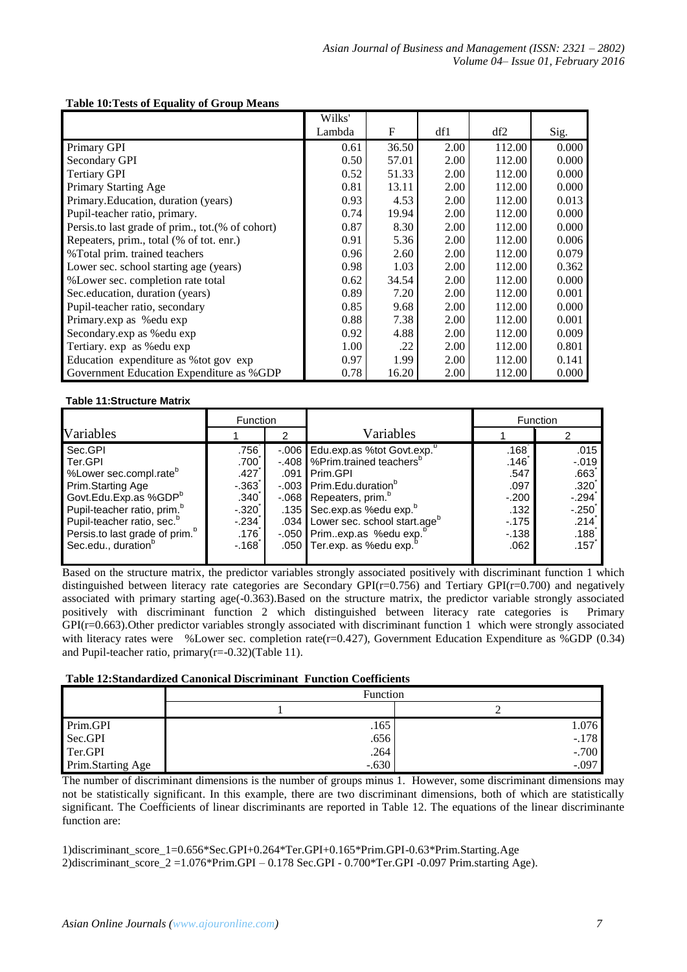|                                                  | Wilks' |       |      |        |       |
|--------------------------------------------------|--------|-------|------|--------|-------|
|                                                  | Lambda | F     | df1  | df2    | Sig.  |
| Primary GPI                                      | 0.61   | 36.50 | 2.00 | 112.00 | 0.000 |
| Secondary GPI                                    | 0.50   | 57.01 | 2.00 | 112.00 | 0.000 |
| <b>Tertiary GPI</b>                              | 0.52   | 51.33 | 2.00 | 112.00 | 0.000 |
| Primary Starting Age                             | 0.81   | 13.11 | 2.00 | 112.00 | 0.000 |
| Primary.Education, duration (years)              | 0.93   | 4.53  | 2.00 | 112.00 | 0.013 |
| Pupil-teacher ratio, primary.                    | 0.74   | 19.94 | 2.00 | 112.00 | 0.000 |
| Persis.to last grade of prim., tot.(% of cohort) | 0.87   | 8.30  | 2.00 | 112.00 | 0.000 |
| Repeaters, prim., total (% of tot. enr.)         | 0.91   | 5.36  | 2.00 | 112.00 | 0.006 |
| % Total prim. trained teachers                   | 0.96   | 2.60  | 2.00 | 112.00 | 0.079 |
| Lower sec. school starting age (years)           | 0.98   | 1.03  | 2.00 | 112.00 | 0.362 |
| %Lower sec. completion rate total                | 0.62   | 34.54 | 2.00 | 112.00 | 0.000 |
| Sec.education, duration (years)                  | 0.89   | 7.20  | 2.00 | 112.00 | 0.001 |
| Pupil-teacher ratio, secondary                   | 0.85   | 9.68  | 2.00 | 112.00 | 0.000 |
| Primary.exp as %edu exp                          | 0.88   | 7.38  | 2.00 | 112.00 | 0.001 |
| Secondary.exp as % edu exp                       | 0.92   | 4.88  | 2.00 | 112.00 | 0.009 |
| Tertiary. exp as % edu exp                       | 1.00   | .22   | 2.00 | 112.00 | 0.801 |
| Education expenditure as % tot gov exp           | 0.97   | 1.99  | 2.00 | 112.00 | 0.141 |
| Government Education Expenditure as %GDP         | 0.78   | 16.20 | 2.00 | 112.00 | 0.000 |

## **Table 10:Tests of Equality of Group Means**

#### **Table 11:Structure Matrix**

|                                            | <b>Function</b>   |      |                                               | <b>Function</b> |                     |  |
|--------------------------------------------|-------------------|------|-----------------------------------------------|-----------------|---------------------|--|
| Variables                                  |                   |      | Variables                                     |                 |                     |  |
| Sec.GPI                                    | .756              | .091 | -.006 Edu.exp.as %tot Govt.exp. <sup>b</sup>  | .168            | .015                |  |
| Ter.GPI                                    | .700              |      | -.408 %Prim.trained teachers <sup>b</sup>     | .146            | $-.019$             |  |
| %Lower sec.compl.rate <sup>b</sup>         | .427              |      | <b>I</b> Prim.GPI                             | .547            | $.663$ <sup>*</sup> |  |
| Prim.Starting Age                          | $-.363]$          |      | -.003 Prim.Edu.duration <sup>b</sup>          | .097            | .320'               |  |
| Govt.Edu.Exp.as %GDPb                      | .340 <sup>°</sup> |      | -.068 Repeaters, prim. <sup>p</sup>           | $-.200$         | $-.294$             |  |
| Pupil-teacher ratio, prim. <sup>b</sup>    | $-.320$           |      | .135 Sec.exp.as %edu exp. <sup>b</sup>        | .132            | $-.250]$            |  |
| Pupil-teacher ratio, sec. <sup>b</sup>     | $-.234°$          |      | .034 Lower sec. school start.age <sup>b</sup> | $-175$          | .214                |  |
| Persis.to last grade of prim. <sup>b</sup> | .176              |      | -.050 Primexp.as %edu exp. <sup>t</sup>       | $-138$          | $.188$ <sup>*</sup> |  |
| Sec.edu., duration <sup>b</sup>            | $-0.168$          |      | .050 Ter.exp. as %edu exp. <sup>1</sup>       | .062            | .157                |  |

Based on the structure matrix, the predictor variables strongly associated positively with discriminant function 1 which distinguished between literacy rate categories are Secondary GPI( $r=0.756$ ) and Tertiary GPI( $r=0.700$ ) and negatively associated with primary starting age(-0.363).Based on the structure matrix, the predictor variable strongly associated positively with discriminant function 2 which distinguished between literacy rate categories is Primary  $GPI(r=0.663)$ . Other predictor variables strongly associated with discriminant function 1 which were strongly associated with literacy rates were %Lower sec. completion rate(r=0.427), Government Education Expenditure as %GDP (0.34) and Pupil-teacher ratio, primary(r=-0.32)(Table 11).

## **Table 12:Standardized Canonical Discriminant Function Coefficients**

|                   |         | Function |  |  |  |  |  |
|-------------------|---------|----------|--|--|--|--|--|
|                   |         |          |  |  |  |  |  |
| Prim.GPI          | .165    | 0.076    |  |  |  |  |  |
| Sec.GPI           | .656    | $-.178$  |  |  |  |  |  |
| Ter.GPI           | .264    | $-.700$  |  |  |  |  |  |
| Prim.Starting Age | $-.630$ | $-.097$  |  |  |  |  |  |

The number of discriminant dimensions is the number of groups minus 1. However, some discriminant dimensions may not be statistically significant. In this example, there are two discriminant dimensions, both of which are statistically significant. The Coefficients of linear discriminants are reported in Table 12. The equations of the linear discriminante function are:

1)discriminant\_score\_1=0.656\*Sec.GPI+0.264\*Ter.GPI+0.165\*Prim.GPI-0.63\*Prim.Starting.Age 2)discriminant\_score\_2 =1.076\*Prim.GPI – 0.178 Sec.GPI - 0.700\*Ter.GPI -0.097 Prim.starting Age).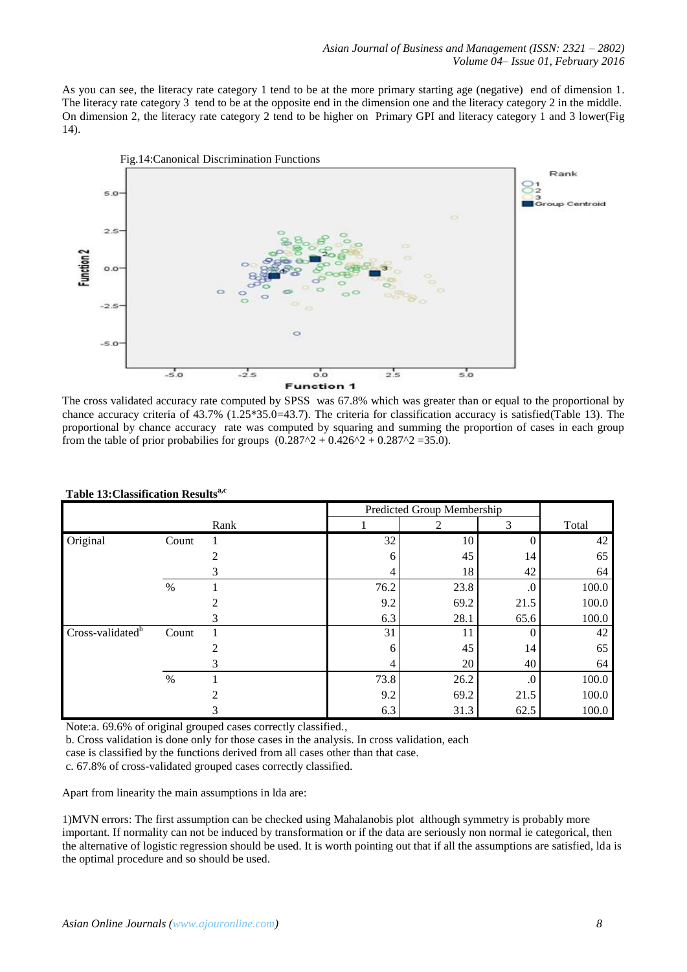As you can see, the literacy rate category 1 tend to be at the more primary starting age (negative) end of dimension 1. The literacy rate category 3 tend to be at the opposite end in the dimension one and the literacy category 2 in the middle. On dimension 2, the literacy rate category 2 tend to be higher on Primary GPI and literacy category 1 and 3 lower(Fig 14).



The cross validated accuracy rate computed by SPSS was 67.8% which was greater than or equal to the proportional by chance accuracy criteria of 43.7% (1.25\*35.0=43.7). The criteria for classification accuracy is satisfied(Table 13). The proportional by chance accuracy rate was computed by squaring and summing the proportion of cases in each group from the table of prior probabilies for groups  $(0.287<sup>2</sup> + 0.426<sup>2</sup> + 0.287<sup>2</sup> = 35.0)$ .

|                              |       |      | Predicted Group Membership |      |              |       |
|------------------------------|-------|------|----------------------------|------|--------------|-------|
|                              |       | Rank |                            | 2    | 3            | Total |
| Original                     | Count |      | 32                         | 10   | 0            | 42    |
|                              |       |      | 6                          | 45   | 14           | 65    |
|                              |       | 3    | 4                          | 18   | 42           | 64    |
|                              | $\%$  |      | 76.2                       | 23.8 | .0           | 100.0 |
|                              |       |      | 9.2                        | 69.2 | 21.5         | 100.0 |
|                              |       |      | 6.3                        | 28.1 | 65.6         | 100.0 |
| Cross-validated <sup>b</sup> | Count |      | 31                         | 11   | $\mathbf{0}$ | 42    |
|                              |       | 2    | 6                          | 45   | 14           | 65    |
|                              |       | 3    | 4                          | 20   | 40           | 64    |
|                              | $\%$  |      | 73.8                       | 26.2 | .0           | 100.0 |
|                              |       |      | 9.2                        | 69.2 | 21.5         | 100.0 |
|                              |       |      | 6.3                        | 31.3 | 62.5         | 100.0 |

#### **Table 13:Classification Resultsa,c**

Note:a. 69.6% of original grouped cases correctly classified.,

b. Cross validation is done only for those cases in the analysis. In cross validation, each

case is classified by the functions derived from all cases other than that case.

c. 67.8% of cross-validated grouped cases correctly classified.

Apart from linearity the main assumptions in lda are:

1)MVN errors: The first assumption can be checked using Mahalanobis plot although symmetry is probably more important. If normality can not be induced by transformation or if the data are seriously non normal ie categorical, then the alternative of logistic regression should be used. It is worth pointing out that if all the assumptions are satisfied, lda is the optimal procedure and so should be used.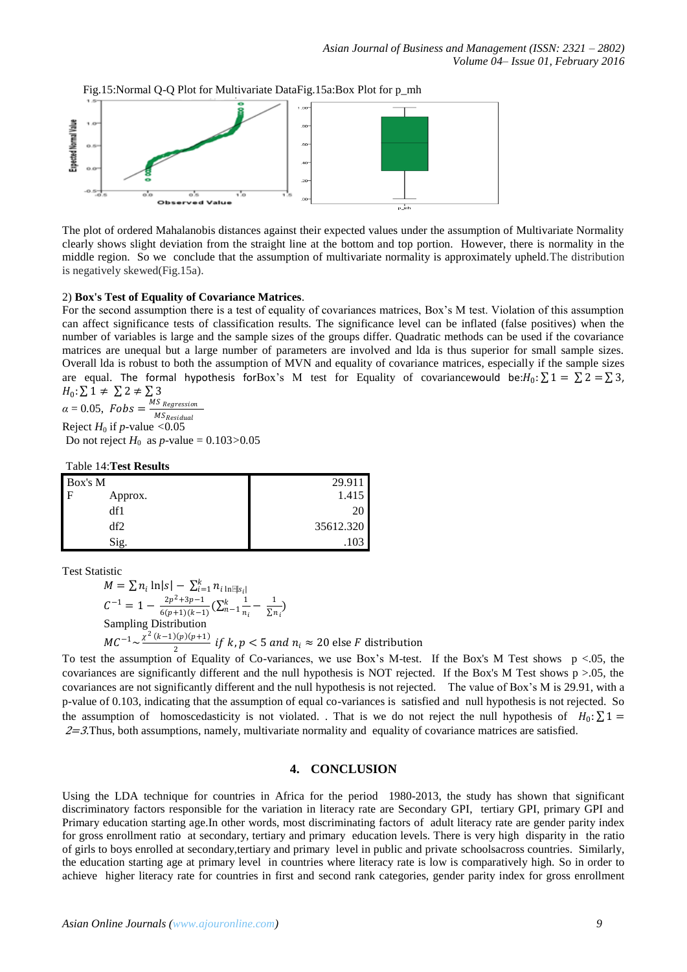



The plot of ordered Mahalanobis distances against their expected values under the assumption of Multivariate Normality clearly shows slight deviation from the straight line at the bottom and top portion. However, there is normality in the middle region. So we conclude that the assumption of multivariate normality is approximately upheld.The distribution is negatively skewed(Fig.15a).

#### 2) **Box's Test of Equality of Covariance Matrices**.

For the second assumption there is a test of equality of covariances matrices, Box's M test. Violation of this assumption can affect significance tests of classification results. The significance level can be inflated (false positives) when the number of variables is large and the sample sizes of the groups differ. Quadratic methods can be used if the covariance matrices are unequal but a large number of parameters are involved and lda is thus superior for small sample sizes. Overall lda is robust to both the assumption of MVN and equality of covariance matrices, especially if the sample sizes are equal. The formal hypothesis forBox's M test for Equality of covariancewould be: $H_0: \sum 1 = \sum 2 = \sum 3$ ,  $H_0: \sum 1 \neq \sum 2 \neq \sum 3$ 

 $\alpha = 0.05$ ,  $Fobs = \frac{MS \; Regression}{MS}$ MS <sub>Residual</sub> Reject  $H_0$  if *p*-value <0.05

Do not reject  $H_0$  as *p*-value = 0.103>0.05

Table 14:**Test Results**

| Box's M                 |         | 29.911    |
|-------------------------|---------|-----------|
| $\overline{\mathbf{F}}$ | Approx. | 1.415     |
|                         | df1     | 20        |
|                         | df2     | 35612.320 |
|                         | Sig.    | 103       |

Test Statistic

$$
M = \sum n_i \ln |s| - \sum_{i=1}^k n_i \max_{i} |\mathbb{E} s_i|
$$
  
\n
$$
C^{-1} = 1 - \frac{2p^2 + 3p - 1}{6(p+1)(k-1)} (\sum_{n=1}^k \frac{1}{n_i} - \frac{1}{\sum n_i})
$$
  
\nSampling Distribution  
\n
$$
MC^{-1} \sim \frac{\chi^2 (k-1)(p)(p+1)}{2} \text{ if } k, p < 5 \text{ and } n_i \approx 20 \text{ else } F \text{ distribution}
$$

To test the assumption of Equality of Co-variances, we use Box's M-test. If the Box's M Test shows  $p < 0.05$ , the covariances are significantly different and the null hypothesis is NOT rejected. If the Box's M Test shows p >.05, the covariances are not significantly different and the null hypothesis is not rejected. The value of Box's M is 29.91, with a p-value of 0.103, indicating that the assumption of equal co-variances is satisfied and null hypothesis is not rejected. So the assumption of homoscedasticity is not violated. That is we do not reject the null hypothesis of  $H_0: \sum 1 =$  $2=3$ . Thus, both assumptions, namely, multivariate normality and equality of covariance matrices are satisfied.

## **4. CONCLUSION**

Using the LDA technique for countries in Africa for the period 1980-2013, the study has shown that significant discriminatory factors responsible for the variation in literacy rate are Secondary GPI, tertiary GPI, primary GPI and Primary education starting age.In other words, most discriminating factors of adult literacy rate are gender parity index for gross enrollment ratio at secondary, tertiary and primary education levels. There is very high disparity in the ratio of girls to boys enrolled at secondary,tertiary and primary level in public and private schoolsacross countries. Similarly, the education starting age at primary level in countries where literacy rate is low is comparatively high. So in order to achieve higher literacy rate for countries in first and second rank categories, gender parity index for gross enrollment